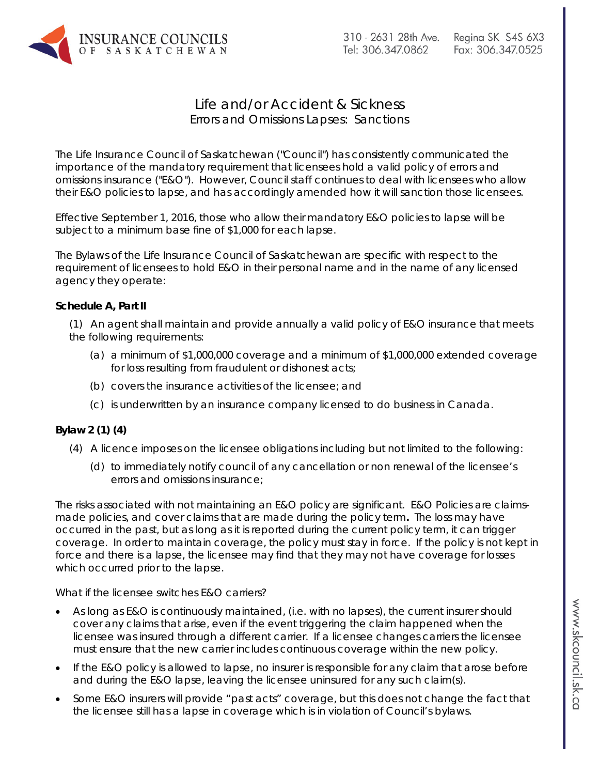

## Life and/or Accident & Sickness Errors and Omissions Lapses: Sanctions

The Life Insurance Council of Saskatchewan ("Council") has consistently communicated the importance of the mandatory requirement that licensees hold a valid policy of errors and omissions insurance ("E&O"). However, Council staff continues to deal with licensees who allow their E&O policies to lapse, and has accordingly amended how it will sanction those licensees.

Effective September 1, 2016, those who allow their mandatory E&O policies to lapse will be subject to a minimum base fine of \$1,000 for each lapse.

The Bylaws of the Life Insurance Council of Saskatchewan are specific with respect to the requirement of licensees to hold E&O in their personal name and in the name of any licensed agency they operate:

## **Schedule A, Part II**

(1) An agent shall maintain and provide annually a valid policy of E&O insurance that meets the following requirements:

- (a) a minimum of \$1,000,000 coverage and a minimum of \$1,000,000 extended coverage for loss resulting from fraudulent or dishonest acts;
- (b) covers the insurance activities of the licensee; and
- (c) is underwritten by an insurance company licensed to do business in Canada.

## **Bylaw 2 (1) (4)**

- (4) A licence imposes on the licensee obligations including but not limited to the following:
	- (d) to immediately notify council of any cancellation or non renewal of the licensee's errors and omissions insurance;

The risks associated with not maintaining an E&O policy are significant. E&O Policies are claimsmade policies, and cover claims that are made during the policy term**.** The loss may have occurred in the past, but as long as it is reported during the current policy term, it can trigger coverage. In order to maintain coverage, the policy must stay in force. If the policy is not kept in force and there is a lapse, the licensee may find that they may not have coverage for losses which occurred prior to the lapse.

## *What if the licensee switches E&O carriers?*

- As long as E&O is continuously maintained, (i.e. with no lapses), the current insurer should cover any claims that arise, even if the event triggering the claim happened when the licensee was insured through a different carrier. If a licensee changes carriers the licensee must ensure that the new carrier includes continuous coverage within the new policy.
- If the E&O policy is allowed to lapse, no insurer is responsible for any claim that arose before and during the E&O lapse, leaving the licensee uninsured for any such claim(s).
- Some E&O insurers will provide "past acts" coverage, but this does not change the fact that the licensee still has a lapse in coverage which is in violation of Council's bylaws.